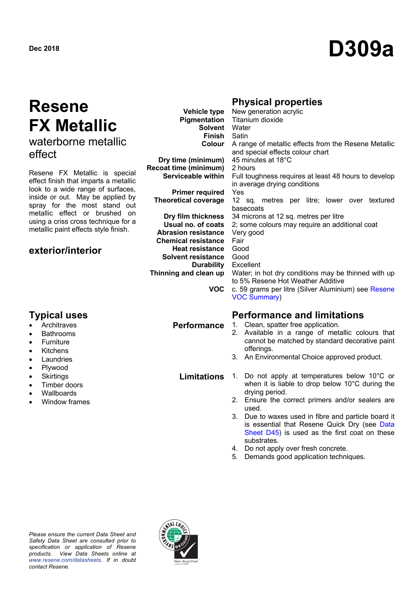# **Resene FX Metallic** waterborne metallic

effect

Resene FX Metallic is special effect finish that imparts a metallic look to a wide range of surfaces, inside or out. May be applied by spray for the most stand out metallic effect or brushed on using a criss cross technique for a metallic paint effects style finish.

# **exterior/interior**

- **Architraves**
- Bathrooms
- **Furniture**
- Kitchens
- Laundries
- Plywood
- Skirtings
- Timber doors
- Wallboards
- Window frames

# **Physical properties**

|                                | <b>Vehicle type</b> New generation acrylic           |
|--------------------------------|------------------------------------------------------|
|                                | <b>Pigmentation</b> Titanium dioxide                 |
| <b>Solvent</b> Water           |                                                      |
| <b>Finish</b> Satin            |                                                      |
| Colour                         | A range of metallic effects from the Resene Metallic |
|                                | and special effects colour chart                     |
| Dry time (minimum)             | 45 minutes at 18°C                                   |
| Recoat time (minimum)          | 2 hours                                              |
| Serviceable within             | Full toughness requires at least 48 hours to develop |
|                                | in average drying conditions                         |
| <b>Primer required</b>         | Yes                                                  |
| <b>Theoretical coverage</b>    | 12 sq. metres per litre; lower over textured         |
|                                | basecoats                                            |
| Dry film thickness             | 34 microns at 12 sq. metres per litre                |
| Usual no. of coats             | 2; some colours may require an additional coat       |
| <b>Abrasion resistance</b>     | Very good                                            |
| <b>Chemical resistance</b>     | Fair                                                 |
| Heat resistance                | Good                                                 |
| <b>Solvent resistance</b> Good |                                                      |
| <b>Durability</b> Excellent    |                                                      |
| Thinning and clean up          | Water; in hot dry conditions may be thinned with up  |
|                                | to 5% Resene Hot Weather Additive                    |
| VOC.                           | c. 59 grams per litre (Silver Aluminium) see Resene  |
|                                | <b>VOC Summary)</b>                                  |

# **Typical uses Performance and limitations**

**Performance** 1. Clean, spatter free application.

- 2. Available in a range of metallic colours that cannot be matched by standard decorative paint offerings.
- 3. An Environmental Choice approved product.
- **Limitations** 1. Do not apply at temperatures below 10°C or when it is liable to drop below 10°C during the drying period.
	- 2. Ensure the correct primers and/or sealers are used.
	- 3. Due to waxes used in fibre and particle board it is essential that Resene Quick Dry (see Data Sheet D45) is used as the first coat on these substrates.
	- 4. Do not apply over fresh concrete.
	- 5. Demands good application techniques.